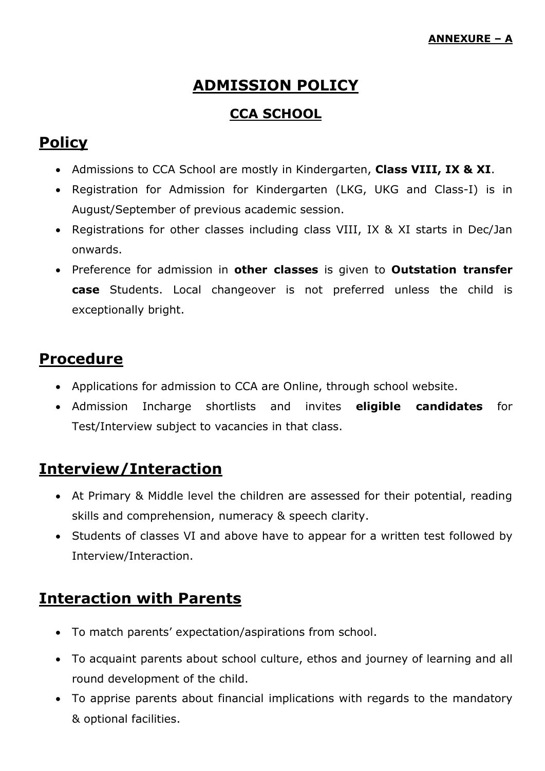# **ADMISSION POLICY**

#### **CCA SCHOOL**

# **Policy**

- Admissions to CCA School are mostly in Kindergarten, **Class VIII, IX & XI**.
- Registration for Admission for Kindergarten (LKG, UKG and Class-I) is in August/September of previous academic session.
- Registrations for other classes including class VIII, IX & XI starts in Dec/Jan onwards.
- Preference for admission in **other classes** is given to **Outstation transfer case** Students. Local changeover is not preferred unless the child is exceptionally bright.

#### **Procedure**

- Applications for admission to CCA are Online, through school website.
- Admission Incharge shortlists and invites **eligible candidates** for Test/Interview subject to vacancies in that class.

### **Interview/Interaction**

- At Primary & Middle level the children are assessed for their potential, reading skills and comprehension, numeracy & speech clarity.
- Students of classes VI and above have to appear for a written test followed by Interview/Interaction.

# **Interaction with Parents**

- To match parents' expectation/aspirations from school.
- To acquaint parents about school culture, ethos and journey of learning and all round development of the child.
- To apprise parents about financial implications with regards to the mandatory & optional facilities.